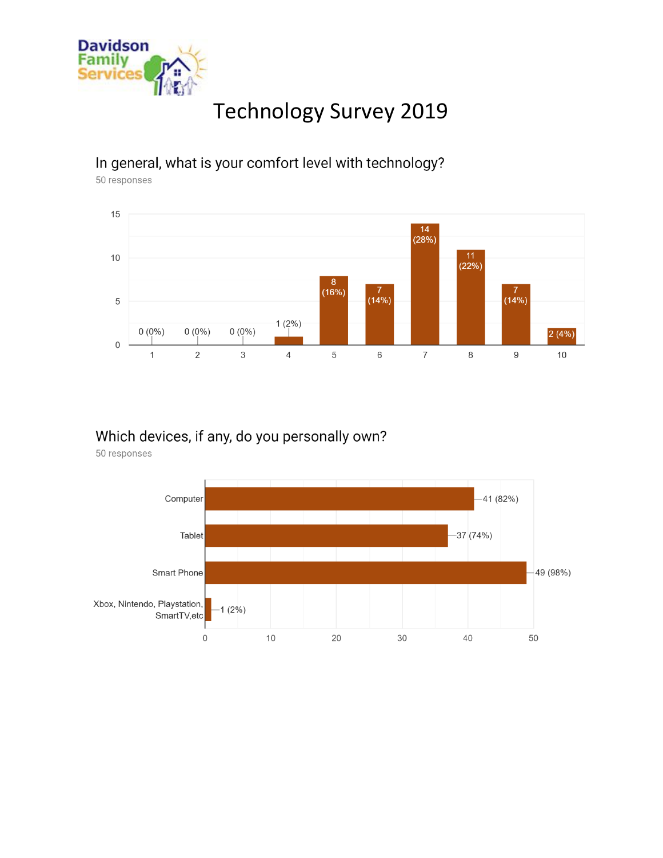

# **Technology Survey 2019**

### In general, what is your comfort level with technology?

50 responses



#### Which devices, if any, do you personally own?

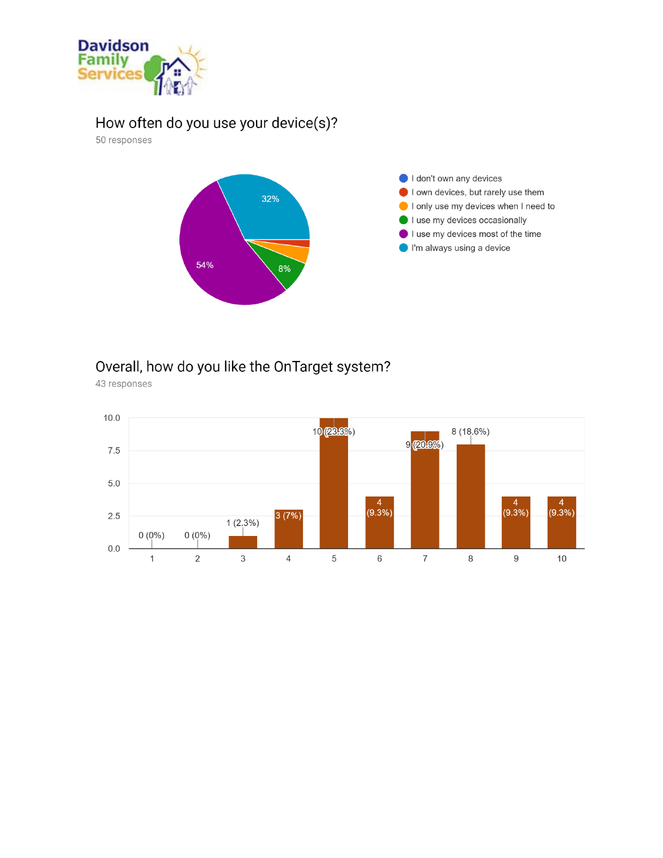

## How often do you use your device(s)?

50 responses



## Overall, how do you like the OnTarget system?

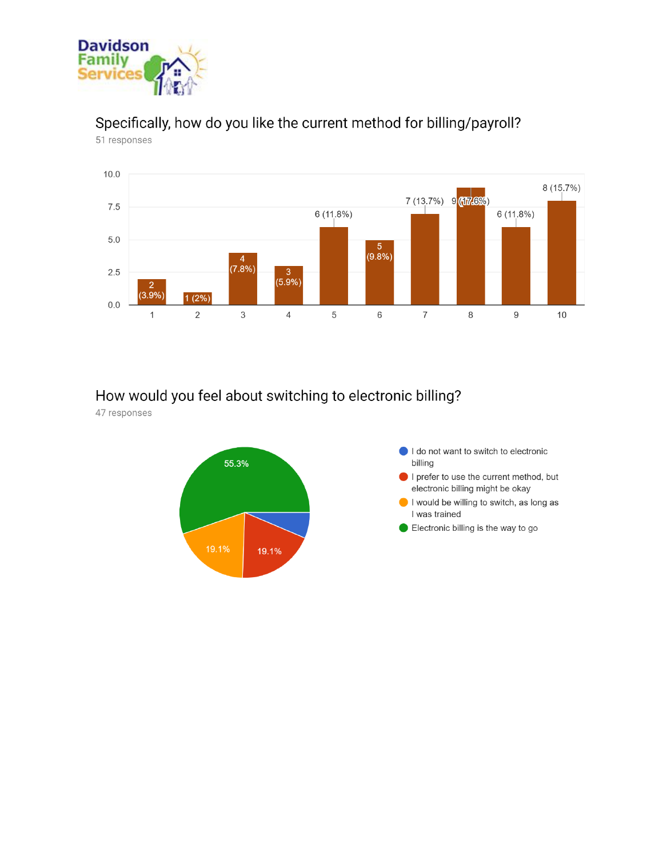

# Specifically, how do you like the current method for billing/payroll?

51 responses



#### How would you feel about switching to electronic billing?

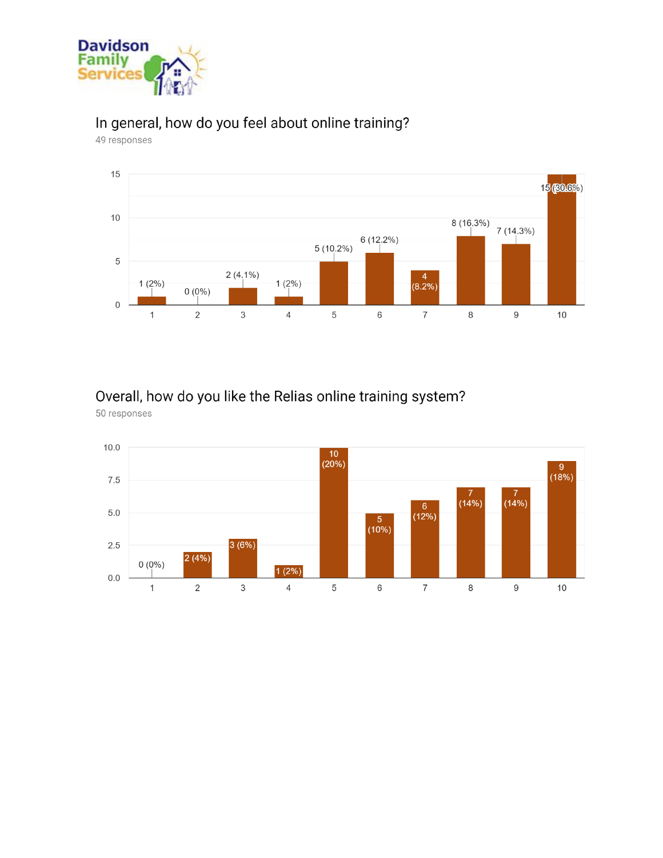

# In general, how do you feel about online training?

49 responses



# Overall, how do you like the Relias online training system?